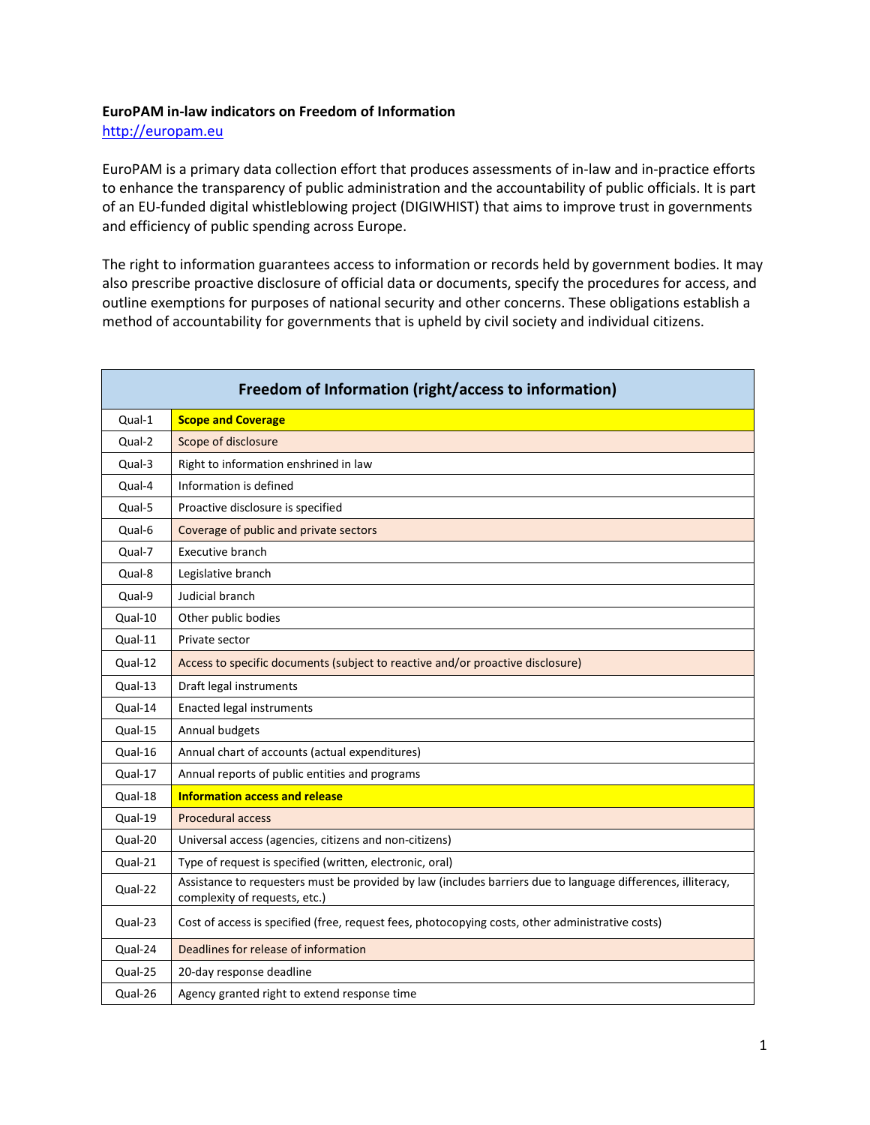## **EuroPAM in-law indicators on Freedom of Information**

[http://europam.eu](http://europam.eu/)

EuroPAM is a primary data collection effort that produces assessments of in-law and in-practice efforts to enhance the transparency of public administration and the accountability of public officials. It is part of an EU-funded digital whistleblowing project (DIGIWHIST) that aims to improve trust in governments and efficiency of public spending across Europe.

The right to information guarantees access to information or records held by government bodies. It may also prescribe proactive disclosure of official data or documents, specify the procedures for access, and outline exemptions for purposes of national security and other concerns. These obligations establish a method of accountability for governments that is upheld by civil society and individual citizens.

| Freedom of Information (right/access to information) |                                                                                                                                               |  |
|------------------------------------------------------|-----------------------------------------------------------------------------------------------------------------------------------------------|--|
| Qual-1                                               | <b>Scope and Coverage</b>                                                                                                                     |  |
| Qual-2                                               | Scope of disclosure                                                                                                                           |  |
| Qual-3                                               | Right to information enshrined in law                                                                                                         |  |
| Qual-4                                               | Information is defined                                                                                                                        |  |
| Qual-5                                               | Proactive disclosure is specified                                                                                                             |  |
| Qual-6                                               | Coverage of public and private sectors                                                                                                        |  |
| Qual-7                                               | Executive branch                                                                                                                              |  |
| Qual-8                                               | Legislative branch                                                                                                                            |  |
| Qual-9                                               | Judicial branch                                                                                                                               |  |
| Qual-10                                              | Other public bodies                                                                                                                           |  |
| Qual-11                                              | Private sector                                                                                                                                |  |
| Qual-12                                              | Access to specific documents (subject to reactive and/or proactive disclosure)                                                                |  |
| $Qual-13$                                            | Draft legal instruments                                                                                                                       |  |
| Qual-14                                              | <b>Enacted legal instruments</b>                                                                                                              |  |
| Qual-15                                              | Annual budgets                                                                                                                                |  |
| Qual-16                                              | Annual chart of accounts (actual expenditures)                                                                                                |  |
| Qual-17                                              | Annual reports of public entities and programs                                                                                                |  |
| Qual-18                                              | <b>Information access and release</b>                                                                                                         |  |
| Qual-19                                              | <b>Procedural access</b>                                                                                                                      |  |
| Qual-20                                              | Universal access (agencies, citizens and non-citizens)                                                                                        |  |
| Qual-21                                              | Type of request is specified (written, electronic, oral)                                                                                      |  |
| Qual-22                                              | Assistance to requesters must be provided by law (includes barriers due to language differences, illiteracy,<br>complexity of requests, etc.) |  |
| Qual-23                                              | Cost of access is specified (free, request fees, photocopying costs, other administrative costs)                                              |  |
| Qual-24                                              | Deadlines for release of information                                                                                                          |  |
| Qual-25                                              | 20-day response deadline                                                                                                                      |  |
| Qual-26                                              | Agency granted right to extend response time                                                                                                  |  |